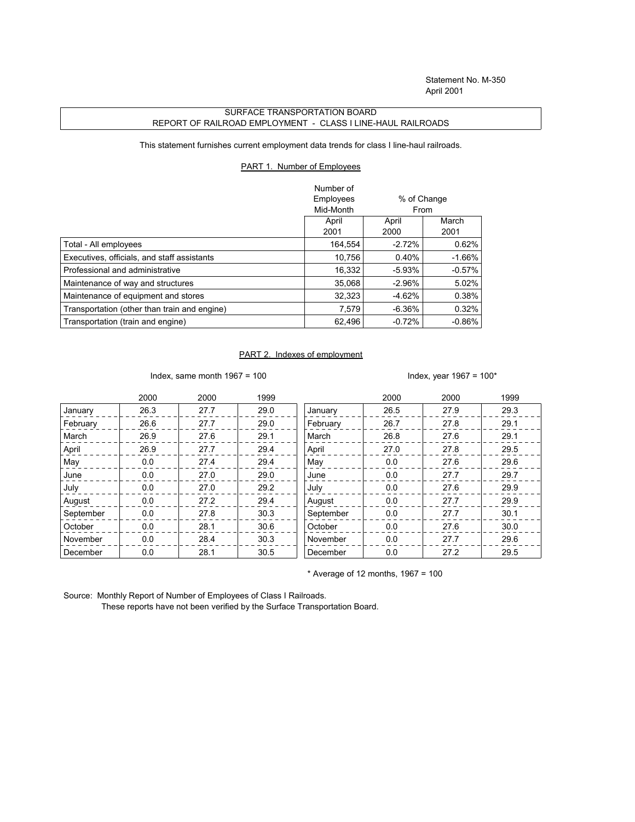## SURFACE TRANSPORTATION BOARD REPORT OF RAILROAD EMPLOYMENT - CLASS I LINE-HAUL RAILROADS

This statement furnishes current employment data trends for class I line-haul railroads.

## PART 1. Number of Employees

|                                              | Number of |                |           |
|----------------------------------------------|-----------|----------------|-----------|
|                                              | Employees | % of Change    |           |
|                                              | Mid-Month | From           |           |
|                                              | April     | March<br>April |           |
|                                              | 2001      | 2000           | 2001      |
| Total - All employees                        | 164,554   | $-2.72%$       | 0.62%     |
| Executives, officials, and staff assistants  | 10.756    | 0.40%          | $-1.66\%$ |
| Professional and administrative              | 16.332    | $-5.93\%$      | $-0.57\%$ |
| Maintenance of way and structures            | 35.068    | $-2.96%$       | 5.02%     |
| Maintenance of equipment and stores          | 32,323    | $-4.62%$       | 0.38%     |
| Transportation (other than train and engine) | 7.579     | $-6.36\%$      | 0.32%     |
| Transportation (train and engine)            | 62.496    | $-0.72%$       | $-0.86%$  |

## PART 2. Indexes of employment

Index, same month  $1967 = 100$  Index, year  $1967 = 100*$ 

|           | 2000 | 2000 | 1999 |           | 2000 | 2000 | 1999 |
|-----------|------|------|------|-----------|------|------|------|
| January   | 26.3 | 27.7 | 29.0 | January   | 26.5 | 27.9 | 29.3 |
| February  | 26.6 | 27.7 | 29.0 | February  | 26.7 | 27.8 | 29.1 |
| March     | 26.9 | 27.6 | 29.1 | March     | 26.8 | 27.6 | 29.1 |
| April     | 26.9 | 27.7 | 29.4 | April     | 27.0 | 27.8 | 29.5 |
| May       | 0.0  | 27.4 | 29.4 | May       | 0.0  | 27.6 | 29.6 |
| June      | 0.0  | 27.0 | 29.0 | June      | 0.0  | 27.7 | 29.7 |
| July      | 0.0  | 27.0 | 29.2 | July      | 0.0  | 27.6 | 29.9 |
| August    | 0.0  | 27.2 | 29.4 | August    | 0.0  | 27.7 | 29.9 |
| September | 0.0  | 27.8 | 30.3 | September | 0.0  | 27.7 | 30.1 |
| October   | 0.0  | 28.1 | 30.6 | October   | 0.0  | 27.6 | 30.0 |
| November  | 0.0  | 28.4 | 30.3 | November  | 0.0  | 27.7 | 29.6 |
| December  | 0.0  | 28.1 | 30.5 | December  | 0.0  | 27.2 | 29.5 |

 $*$  Average of 12 months, 1967 = 100

Source: Monthly Report of Number of Employees of Class I Railroads.

These reports have not been verified by the Surface Transportation Board.